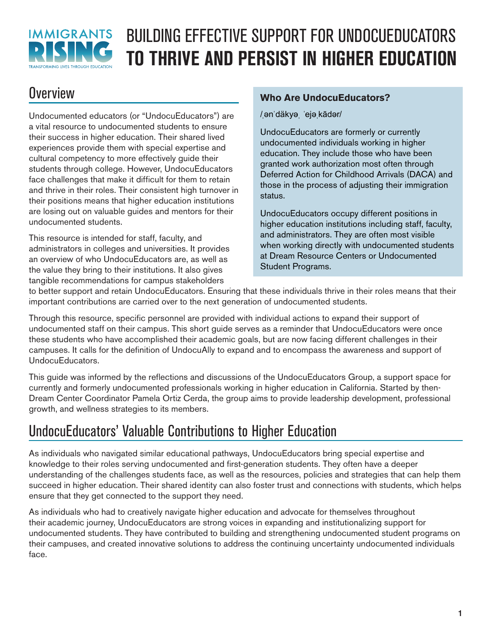

# BUILDING EFFECTIVE SUPPORT FOR UNDOCUEDUCATORS **TO THRIVE AND PERSIST IN HIGHER EDUCATION**

# **Overview**

Undocumented educators (or "UndocuEducators") are a vital resource to undocumented students to ensure their success in higher education. Their shared lived experiences provide them with special expertise and cultural competency to more effectively guide their students through college. However, UndocuEducators face challenges that make it difficult for them to retain and thrive in their roles. Their consistent high turnover in their positions means that higher education institutions are losing out on valuable guides and mentors for their undocumented students.

This resource is intended for staff, faculty, and administrators in colleges and universities. It provides an overview of who UndocuEducators are, as well as the value they bring to their institutions. It also gives tangible recommendations for campus stakeholders

# **Who Are UndocuEducators?**

/ənˈdäkyə ˈejə kādər/

UndocuEducators are formerly or currently undocumented individuals working in higher education. They include those who have been granted work authorization most often through Deferred Action for Childhood Arrivals (DACA) and those in the process of adjusting their immigration status.

UndocuEducators occupy different positions in higher education institutions including staff, faculty, and administrators. They are often most visible when working directly with undocumented students at Dream Resource Centers or Undocumented Student Programs.

to better support and retain UndocuEducators. Ensuring that these individuals thrive in their roles means that their important contributions are carried over to the next generation of undocumented students.

Through this resource, specific personnel are provided with individual actions to expand their support of undocumented staff on their campus. This short guide serves as a reminder that UndocuEducators were once these students who have accomplished their academic goals, but are now facing different challenges in their campuses. It calls for the definition of UndocuAlly to expand and to encompass the awareness and support of UndocuEducators.

This guide was informed by the reflections and discussions of the UndocuEducators Group, a support space for currently and formerly undocumented professionals working in higher education in California. Started by then-Dream Center Coordinator Pamela Ortiz Cerda, the group aims to provide leadership development, professional growth, and wellness strategies to its members.

# UndocuEducators' Valuable Contributions to Higher Education

As individuals who navigated similar educational pathways, UndocuEducators bring special expertise and knowledge to their roles serving undocumented and first-generation students. They often have a deeper understanding of the challenges students face, as well as the resources, policies and strategies that can help them succeed in higher education. Their shared identity can also foster trust and connections with students, which helps ensure that they get connected to the support they need.

As individuals who had to creatively navigate higher education and advocate for themselves throughout their academic journey, UndocuEducators are strong voices in expanding and institutionalizing support for undocumented students. They have contributed to building and strengthening undocumented student programs on their campuses, and created innovative solutions to address the continuing uncertainty undocumented individuals face.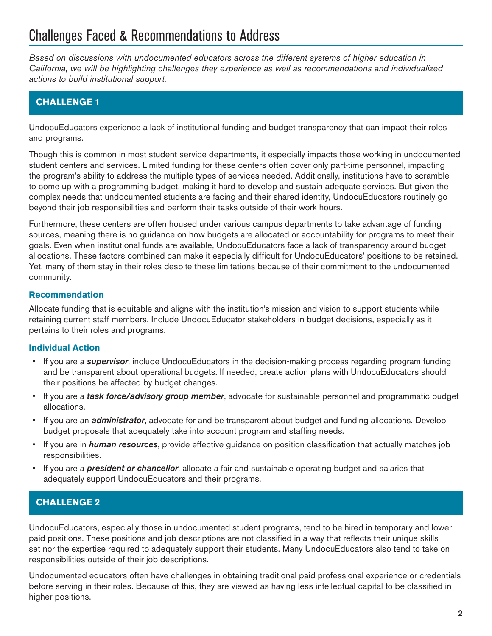# Challenges Faced & Recommendations to Address

*Based on discussions with undocumented educators across the different systems of higher education in California, we will be highlighting challenges they experience as well as recommendations and individualized actions to build institutional support.*

# **CHALLENGE 1**

UndocuEducators experience a lack of institutional funding and budget transparency that can impact their roles and programs.

Though this is common in most student service departments, it especially impacts those working in undocumented student centers and services. Limited funding for these centers often cover only part-time personnel, impacting the program's ability to address the multiple types of services needed. Additionally, institutions have to scramble to come up with a programming budget, making it hard to develop and sustain adequate services. But given the complex needs that undocumented students are facing and their shared identity, UndocuEducators routinely go beyond their job responsibilities and perform their tasks outside of their work hours.

Furthermore, these centers are often housed under various campus departments to take advantage of funding sources, meaning there is no guidance on how budgets are allocated or accountability for programs to meet their goals. Even when institutional funds are available, UndocuEducators face a lack of transparency around budget allocations. These factors combined can make it especially difficult for UndocuEducators' positions to be retained. Yet, many of them stay in their roles despite these limitations because of their commitment to the undocumented community.

### **Recommendation**

Allocate funding that is equitable and aligns with the institution's mission and vision to support students while retaining current staff members. Include UndocuEducator stakeholders in budget decisions, especially as it pertains to their roles and programs.

#### **Individual Action**

- If you are a *supervisor*, include UndocuEducators in the decision-making process regarding program funding and be transparent about operational budgets. If needed, create action plans with UndocuEducators should their positions be affected by budget changes.
- If you are a *task force/advisory group member*, advocate for sustainable personnel and programmatic budget allocations.
- If you are an *administrator*, advocate for and be transparent about budget and funding allocations. Develop budget proposals that adequately take into account program and staffing needs.
- If you are in *human resources*, provide effective guidance on position classification that actually matches job responsibilities.
- If you are a *president or chancellor*, allocate a fair and sustainable operating budget and salaries that adequately support UndocuEducators and their programs.

# **CHALLENGE 2**

UndocuEducators, especially those in undocumented student programs, tend to be hired in temporary and lower paid positions. These positions and job descriptions are not classified in a way that reflects their unique skills set nor the expertise required to adequately support their students. Many UndocuEducators also tend to take on responsibilities outside of their job descriptions.

Undocumented educators often have challenges in obtaining traditional paid professional experience or credentials before serving in their roles. Because of this, they are viewed as having less intellectual capital to be classified in higher positions.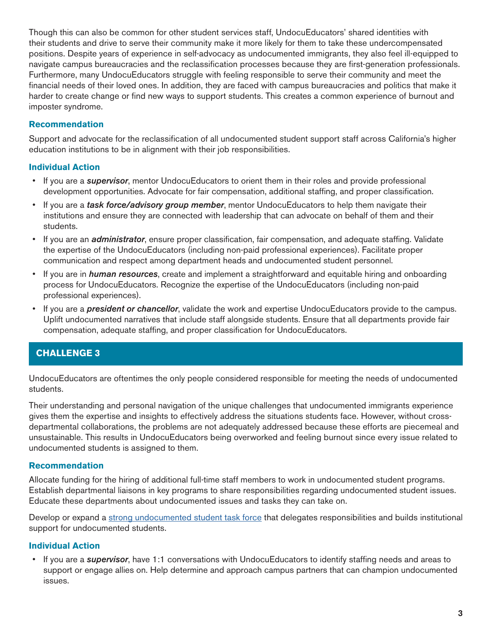Though this can also be common for other student services staff, UndocuEducators' shared identities with their students and drive to serve their community make it more likely for them to take these undercompensated positions. Despite years of experience in self-advocacy as undocumented immigrants, they also feel ill-equipped to navigate campus bureaucracies and the reclassification processes because they are first-generation professionals. Furthermore, many UndocuEducators struggle with feeling responsible to serve their community and meet the financial needs of their loved ones. In addition, they are faced with campus bureaucracies and politics that make it harder to create change or find new ways to support students. This creates a common experience of burnout and imposter syndrome.

### **Recommendation**

Support and advocate for the reclassification of all undocumented student support staff across California's higher education institutions to be in alignment with their job responsibilities.

### **Individual Action**

- If you are a *supervisor*, mentor UndocuEducators to orient them in their roles and provide professional development opportunities. Advocate for fair compensation, additional staffing, and proper classification.
- If you are a *task force/advisory group member*, mentor UndocuEducators to help them navigate their institutions and ensure they are connected with leadership that can advocate on behalf of them and their students.
- If you are an *administrator*, ensure proper classification, fair compensation, and adequate staffing. Validate the expertise of the UndocuEducators (including non-paid professional experiences). Facilitate proper communication and respect among department heads and undocumented student personnel.
- If you are in *human resources*, create and implement a straightforward and equitable hiring and onboarding process for UndocuEducators. Recognize the expertise of the UndocuEducators (including non-paid professional experiences).
- If you are a *president or chancellor*, validate the work and expertise UndocuEducators provide to the campus. Uplift undocumented narratives that include staff alongside students. Ensure that all departments provide fair compensation, adequate staffing, and proper classification for UndocuEducators.

### **CHALLENGE 3**

UndocuEducators are oftentimes the only people considered responsible for meeting the needs of undocumented students.

Their understanding and personal navigation of the unique challenges that undocumented immigrants experience gives them the expertise and insights to effectively address the situations students face. However, without crossdepartmental collaborations, the problems are not adequately addressed because these efforts are piecemeal and unsustainable. This results in UndocuEducators being overworked and feeling burnout since every issue related to undocumented students is assigned to them.

#### **Recommendation**

Allocate funding for the hiring of additional full-time staff members to work in undocumented student programs. Establish departmental liaisons in key programs to share responsibilities regarding undocumented student issues. Educate these departments about undocumented issues and tasks they can take on.

Develop or expand a [strong undocumented student task force](https://immigrantsrising.org/resource/developing-a-strong-undocumented-student-task-force-on-your-campus/) that delegates responsibilities and builds institutional support for undocumented students.

### **Individual Action**

• If you are a *supervisor*, have 1:1 conversations with UndocuEducators to identify staffing needs and areas to support or engage allies on. Help determine and approach campus partners that can champion undocumented issues.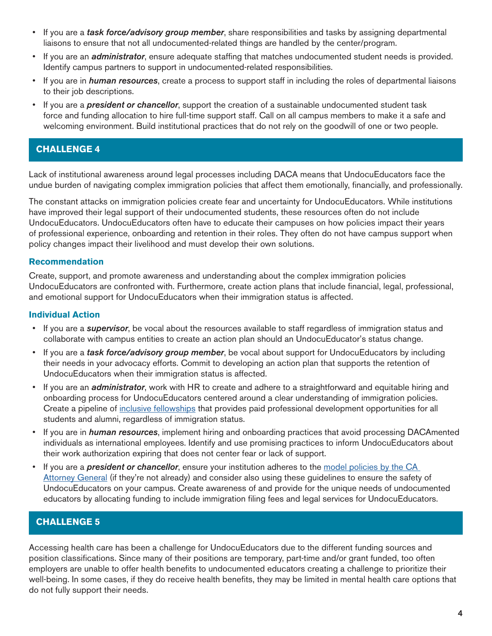- If you are a *task force/advisory group member*, share responsibilities and tasks by assigning departmental liaisons to ensure that not all undocumented-related things are handled by the center/program.
- If you are an *administrator*, ensure adequate staffing that matches undocumented student needs is provided. Identify campus partners to support in undocumented-related responsibilities.
- If you are in *human resources*, create a process to support staff in including the roles of departmental liaisons to their job descriptions.
- If you are a *president or chancellor*, support the creation of a sustainable undocumented student task force and funding allocation to hire full-time support staff. Call on all campus members to make it a safe and welcoming environment. Build institutional practices that do not rely on the goodwill of one or two people.

# **CHALLENGE 4**

Lack of institutional awareness around legal processes including DACA means that UndocuEducators face the undue burden of navigating complex immigration policies that affect them emotionally, financially, and professionally.

The constant attacks on immigration policies create fear and uncertainty for UndocuEducators. While institutions have improved their legal support of their undocumented students, these resources often do not include UndocuEducators. UndocuEducators often have to educate their campuses on how policies impact their years of professional experience, onboarding and retention in their roles. They often do not have campus support when policy changes impact their livelihood and must develop their own solutions.

### **Recommendation**

Create, support, and promote awareness and understanding about the complex immigration policies UndocuEducators are confronted with. Furthermore, create action plans that include financial, legal, professional, and emotional support for UndocuEducators when their immigration status is affected.

### **Individual Action**

- If you are a *supervisor*, be vocal about the resources available to staff regardless of immigration status and collaborate with campus entities to create an action plan should an UndocuEducator's status change.
- If you are a *task force/advisory group member*, be vocal about support for UndocuEducators by including their needs in your advocacy efforts. Commit to developing an action plan that supports the retention of UndocuEducators when their immigration status is affected.
- If you are an *administrator*, work with HR to create and adhere to a straightforward and equitable hiring and onboarding process for UndocuEducators centered around a clear understanding of immigration policies. Create a pipeline of [inclusive fellowships](https://immigrantsrising.org/resource/creating-fellowship-programs-for-educational-institutions/) that provides paid professional development opportunities for all students and alumni, regardless of immigration status.
- If you are in *human resources*, implement hiring and onboarding practices that avoid processing DACAmented individuals as international employees. Identify and use promising practices to inform UndocuEducators about their work authorization expiring that does not center fear or lack of support.
- If you are a *president or chancellor*, ensure your institution adheres to the model policies by the CA [Attorney General](https://oag.ca.gov/sites/all/files/agweb/pdfs/immigration/higher-education-guidance.pdf) (if they're not already) and consider also using these guidelines to ensure the safety of UndocuEducators on your campus. Create awareness of and provide for the unique needs of undocumented educators by allocating funding to include immigration filing fees and legal services for UndocuEducators.

# **CHALLENGE 5**

Accessing health care has been a challenge for UndocuEducators due to the different funding sources and position classifications. Since many of their positions are temporary, part-time and/or grant funded, too often employers are unable to offer health benefits to undocumented educators creating a challenge to prioritize their well-being. In some cases, if they do receive health benefits, they may be limited in mental health care options that do not fully support their needs.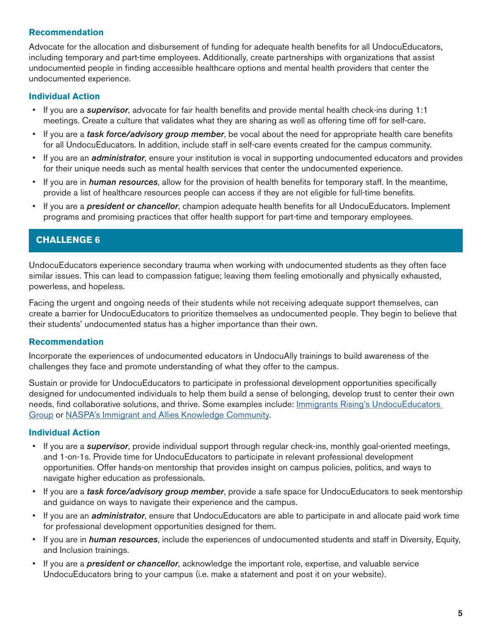#### **Recommendation**

Advocate for the allocation and disbursement of funding for adequate health benefits for all UndocuEducators, including temporary and part-time employees. Additionally, create partnerships with organizations that assist undocumented people in finding accessible healthcare options and mental health providers that center the undocumented experience.

#### **Individual Action**

- If you are a *supervisor*, advocate for fair health benefits and provide mental health check-ins during 1:1 meetings. Create a culture that validates what they are sharing as well as offering time off for self-care.
- If you are a *task force/advisory group member*, be vocal about the need for appropriate health care benefits for all UndocuEducators. In addition, include staff in self-care events created for the campus community.
- If you are an *administrator*, ensure your institution is vocal in supporting undocumented educators and provides for their unique needs such as mental health services that center the undocumented experience.
- If you are in *human resources*, allow for the provision of health benefits for temporary staff. In the meantime, provide a list of healthcare resources people can access if they are not eligible for full-time benefits.
- If you are a *president or chancellor*, champion adequate health benefits for all UndocuEducators. Implement programs and promising practices that offer health support for part-time and temporary employees.

## **CHALLENGE 6**

UndocuEducators experience secondary trauma when working with undocumented students as they often face similar issues. This can lead to compassion fatigue; leaving them feeling emotionally and physically exhausted, powerless, and hopeless.

Facing the urgent and ongoing needs of their students while not receiving adequate support themselves, can create a barrier for UndocuEducators to prioritize themselves as undocumented people. They begin to believe that their students' undocumented status has a higher importance than their own.

#### **Recommendation**

Incorporate the experiences of undocumented educators in UndocuAlly trainings to build awareness of the challenges they face and promote understanding of what they offer to the campus.

Sustain or provide for UndocuEducators to participate in professional development opportunities specifically designed for undocumented individuals to help them build a sense of belonging, develop trust to center their own needs, find collaborative solutions, and thrive. Some examples include: [Immigrants Rising's UndocuEducators](https://www.facebook.com/groups/221072725315209)  [Group](https://www.facebook.com/groups/221072725315209) or [NASPA's Immigrant and Allies Knowledge Community.](https://www.facebook.com/groups/468572809968929)

### **Individual Action**

- If you are a *supervisor*, provide individual support through regular check-ins, monthly goal-oriented meetings, and 1-on-1s. Provide time for UndocuEducators to participate in relevant professional development opportunities. Offer hands-on mentorship that provides insight on campus policies, politics, and ways to navigate higher education as professionals.
- If you are a *task force/advisory group member*, provide a safe space for UndocuEducators to seek mentorship and guidance on ways to navigate their experience and the campus.
- If you are an *administrator*, ensure that UndocuEducators are able to participate in and allocate paid work time for professional development opportunities designed for them.
- If you are in *human resources*, include the experiences of undocumented students and staff in Diversity, Equity, and Inclusion trainings.
- If you are a *president or chancellor*, acknowledge the important role, expertise, and valuable service UndocuEducators bring to your campus (i.e. make a statement and post it on your website).